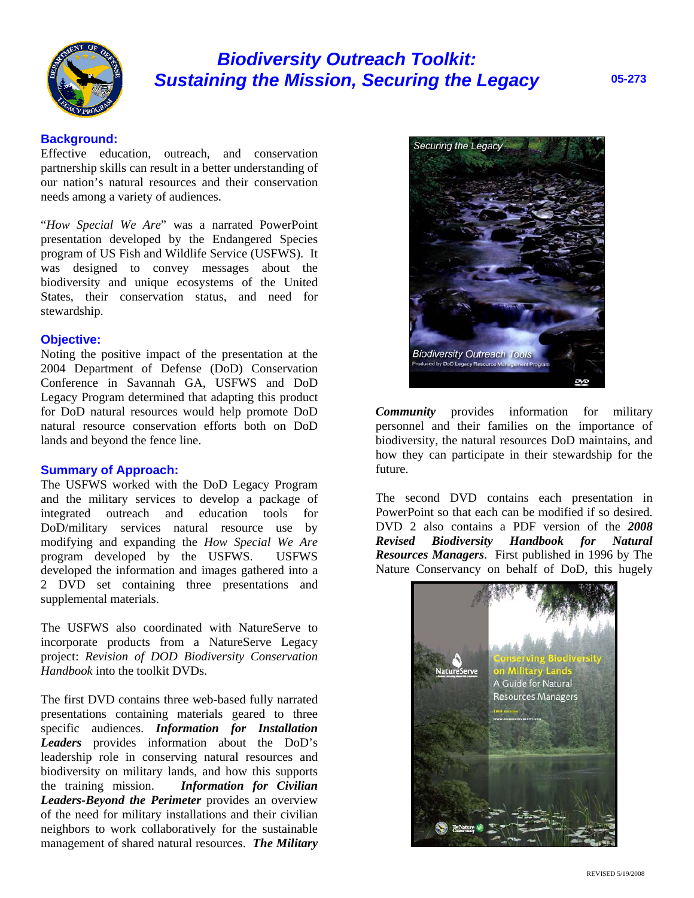

# *Biodiversity Outreach Toolkit: Sustaining the Mission, Securing the Legacy* **05-273**

## **Background:**

Effective education, outreach, and conservation partnership skills can result in a better understanding of our nation's natural resources and their conservation needs among a variety of audiences.

"*How Special We Are*" was a narrated PowerPoint presentation developed by the Endangered Species program of US Fish and Wildlife Service (USFWS). It was designed to convey messages about the biodiversity and unique ecosystems of the United States, their conservation status, and need for stewardship.

#### **Objective:**

Noting the positive impact of the presentation at the 2004 Department of Defense (DoD) Conservation Conference in Savannah GA, USFWS and DoD Legacy Program determined that adapting this product for DoD natural resources would help promote DoD natural resource conservation efforts both on DoD lands and beyond the fence line.

#### **Summary of Approach:**

The USFWS worked with the DoD Legacy Program and the military services to develop a package of integrated outreach and education tools for DoD/military services natural resource use by modifying and expanding the *How Special We Are* program developed by the USFWS. USFWS developed the information and images gathered into a 2 DVD set containing three presentations and supplemental materials.

The USFWS also coordinated with NatureServe to incorporate products from a NatureServe Legacy project: *Revision of DOD Biodiversity Conservation Handbook* into the toolkit DVDs.

The first DVD contains three web-based fully narrated presentations containing materials geared to three specific audiences. *Information for Installation Leaders* provides information about the DoD's leadership role in conserving natural resources and biodiversity on military lands, and how this supports the training mission. *Information for Civilian Leaders-Beyond the Perimeter* provides an overview of the need for military installations and their civilian neighbors to work collaboratively for the sustainable management of shared natural resources. *The Military* 



*Community* provides information for military personnel and their families on the importance of biodiversity, the natural resources DoD maintains, and how they can participate in their stewardship for the future.

The second DVD contains each presentation in PowerPoint so that each can be modified if so desired. DVD 2 also contains a PDF version of the *2008 Revised Biodiversity Handbook for Natural Resources Managers*. First published in 1996 by The Nature Conservancy on behalf of DoD, this hugely